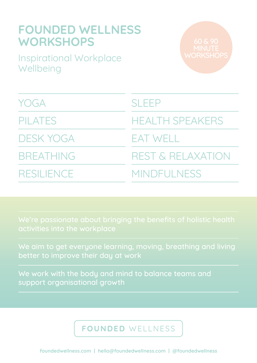| <b>FOUNDED WELLNESS</b><br><b>WORKSHOPS</b><br>60 & 90<br>MINUTE |                              |
|------------------------------------------------------------------|------------------------------|
| <b>Inspirational Workplace</b><br>Wellbeing                      | <b>WORKSHOPS</b>             |
| <b>YOGA</b>                                                      | <b>SLEEP</b>                 |
| <b>PILATES</b>                                                   | <b>HEALTH SPEAKERS</b>       |
| <b>DESK YOGA</b>                                                 | <b>EAT WELL</b>              |
| <b>BREATHING</b>                                                 | <b>REST &amp; RELAXATION</b> |
| <b>RESILIENCE</b>                                                | MINDFULNESS                  |

better to improve their day at work

We work with the body and mind to balance teams and support organisational growth

# FOUNDED WELLNESS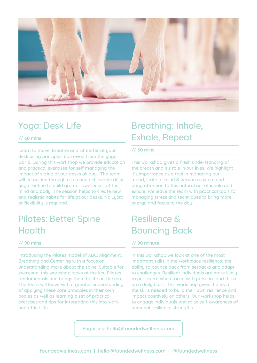

### Yoga: Desk Life

#### **// 60 mins**

Learn to move, breathe and sit better at your desk using principles borrowed from the yoga world. During this workshop we provide education and practical exercises for self managing the impact of sitting at our desks all day. The team will be guided through a fun and achievable desk yoga routine to build greater awareness of the mind and bodu. The session helps to create new and realistic habits for life at our desks. No Lycra or flexibility is required.

### Pilates: Better Spine **Health**

### **// 90 mins**

Introducing the Pilates model of ABC: Alignment, Breathing and Centering with a focus on understanding more about the spine. Suitable for everyone, this workshop looks at the key Pilates fundamentals and brings them to life on the mat. The team will leave with a greater understanding of applying these core principles in their own bodies as well as learning a set of practical exercises and tips for integrating this into work and office life.

# Breathing: Inhale, Exhale, Repeat

### **// 60 mins**

This workshop gives a fresh understanding of the breath and it's role in our lives. We highlight it's importance as a tool in managing our mood, state of mind & nervous system and bring attention to this natural act of inhale and exhale. We leave the team with practical tools for managing stress and techniques to bring more energy and focus to the day.

### Resilience & Bouncing Back

#### **// 90 minute**

In this workshop we look at one of the most important skills in the workplace resilience; the ability to bounce back from setbacks and adapt to challenges. Resilient individuals are more likely to persevere when faced with pressure and thrive on a daily basis. This workshop gives the team the skills needed to build their own resilience and impact positively on others. Our workshop helps to engage individuals and raise self-awareness of personal resilience strengths.

**Enquiries: hello@foundedwellness.com**